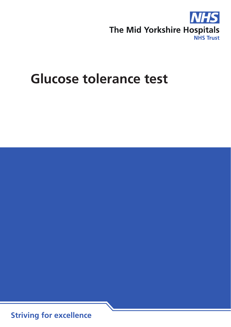

# **Glucose tolerance test**

**Striving for excellence**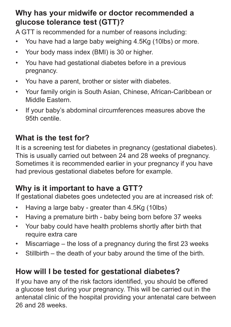## **Why has your midwife or doctor recommended a glucose tolerance test (GTT)?**

A GTT is recommended for a number of reasons including:

- You have had a large baby weighing 4.5Kg (10lbs) or more.
- Your body mass index (BMI) is 30 or higher.
- You have had gestational diabetes before in a previous pregnancy.
- You have a parent, brother or sister with diabetes.
- Your family origin is South Asian, Chinese, African-Caribbean or Middle Eastern.
- If your baby's abdominal circumferences measures above the 95th centile.

# **What is the test for?**

It is a screening test for diabetes in pregnancy (gestational diabetes). This is usually carried out between 24 and 28 weeks of pregnancy. Sometimes it is recommended earlier in your pregnancy if you have had previous gestational diabetes before for example.

# **Why is it important to have a GTT?**

If gestational diabetes goes undetected you are at increased risk of:

- Having a large baby greater than 4.5Kg (10lbs)
- Having a premature birth baby being born before 37 weeks
- Your baby could have health problems shortly after birth that require extra care
- Miscarriage the loss of a pregnancy during the first 23 weeks
- Stillbirth the death of your baby around the time of the birth.

# **How will I be tested for gestational diabetes?**

If you have any of the risk factors identified, you should be offered a glucose test during your pregnancy. This will be carried out in the antenatal clinic of the hospital providing your antenatal care between 26 and 28 weeks.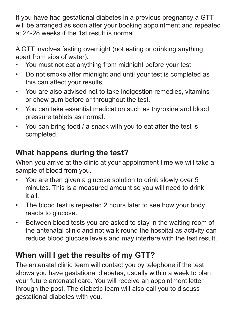If you have had gestational diabetes in a previous pregnancy a GTT will be arranged as soon after your booking appointment and repeated at 24-28 weeks if the 1st result is normal.

A GTT involves fasting overnight (not eating or drinking anything apart from sips of water).

- You must not eat anything from midnight before your test.
- Do not smoke after midnight and until your test is completed as this can affect your results.
- You are also advised not to take indigestion remedies, vitamins or chew gum before or throughout the test.
- You can take essential medication such as thyroxine and blood pressure tablets as normal.
- You can bring food / a snack with you to eat after the test is completed.

## **What happens during the test?**

When you arrive at the clinic at your appointment time we will take a sample of blood from you.

- You are then given a glucose solution to drink slowly over 5 minutes. This is a measured amount so you will need to drink it all.
- The blood test is repeated 2 hours later to see how your body reacts to glucose.
- Between blood tests you are asked to stay in the waiting room of the antenatal clinic and not walk round the hospital as activity can reduce blood glucose levels and may interfere with the test result.

## **When will I get the results of my GTT?**

The antenatal clinic team will contact you by telephone if the test shows you have gestational diabetes, usually within a week to plan your future antenatal care. You will receive an appointment letter through the post. The diabetic team will also call you to discuss gestational diabetes with you.